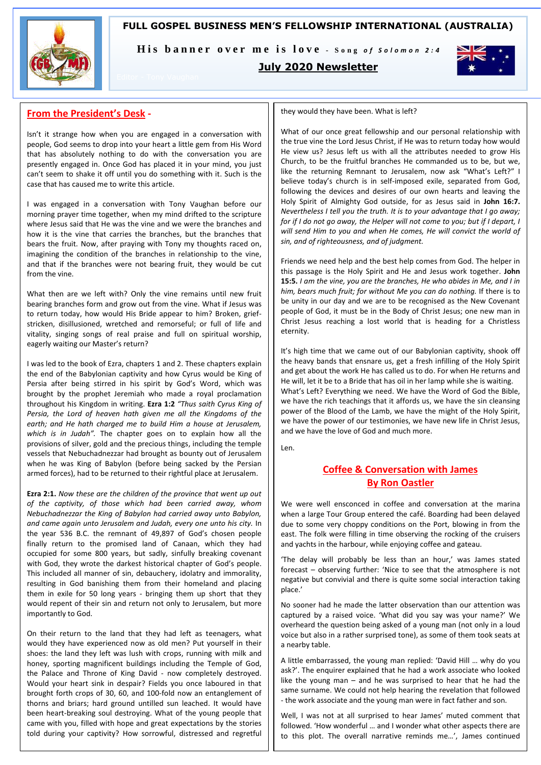## **FULL GOSPEL BUSINESS MEN'S FELLOWSHIP INTERNATIONAL (AUSTRALIA)**



His banner over me is love - Song of Solomon 2:4

## **July 2020 Newsletter**



# **From the President's Desk -**

Isn't it strange how when you are engaged in a conversation with people, God seems to drop into your heart a little gem from His Word that has absolutely nothing to do with the conversation you are presently engaged in. Once God has placed it in your mind, you just can't seem to shake it off until you do something with it. Such is the case that has caused me to write this article.

I was engaged in a conversation with Tony Vaughan before our morning prayer time together, when my mind drifted to the scripture where Jesus said that He was the vine and we were the branches and how it is the vine that carries the branches, but the branches that bears the fruit. Now, after praying with Tony my thoughts raced on, imagining the condition of the branches in relationship to the vine, and that if the branches were not bearing fruit, they would be cut from the vine.

What then are we left with? Only the vine remains until new fruit bearing branches form and grow out from the vine. What if Jesus was to return today, how would His Bride appear to him? Broken, griefstricken, disillusioned, wretched and remorseful; or full of life and vitality, singing songs of real praise and full on spiritual worship, eagerly waiting our Master's return?

I was led to the book of Ezra, chapters 1 and 2. These chapters explain the end of the Babylonian captivity and how Cyrus would be King of Persia after being stirred in his spirit by God's Word, which was brought by the prophet Jeremiah who made a royal proclamation throughout his Kingdom in writing. **Ezra 1:2** *"Thus saith Cyrus King of Persia, the Lord of heaven hath given me all the Kingdoms of the earth; and He hath charged me to build Him a house at Jerusalem, which is in Judah".* The chapter goes on to explain how all the provisions of silver, gold and the precious things, including the temple vessels that Nebuchadnezzar had brought as bounty out of Jerusalem when he was King of Babylon (before being sacked by the Persian armed forces), had to be returned to their rightful place at Jerusalem.

**Ezra 2:1.** *Now these are the children of the province that went up out of the captivity, of those which had been carried away, whom Nebuchadnezzar the King of Babylon had carried away unto Babylon, and came again unto Jerusalem and Judah, every one unto his city.* In the year 536 B.C. the remnant of 49,897 of God's chosen people finally return to the promised land of Canaan, which they had occupied for some 800 years, but sadly, sinfully breaking covenant with God, they wrote the darkest historical chapter of God's people. This included all manner of sin, debauchery, idolatry and immorality, resulting in God banishing them from their homeland and placing them in exile for 50 long years - bringing them up short that they would repent of their sin and return not only to Jerusalem, but more importantly to God.

On their return to the land that they had left as teenagers, what would they have experienced now as old men? Put yourself in their shoes: the land they left was lush with crops, running with milk and honey, sporting magnificent buildings including the Temple of God, the Palace and Throne of King David - now completely destroyed. Would your heart sink in despair? Fields you once laboured in that brought forth crops of 30, 60, and 100-fold now an entanglement of thorns and briars; hard ground untilled sun leached. It would have been heart-breaking soul destroying. What of the young people that came with you, filled with hope and great expectations by the stories told during your captivity? How sorrowful, distressed and regretful

they would they have been. What is left?

What of our once great fellowship and our personal relationship with the true vine the Lord Jesus Christ, if He was to return today how would He view us? Jesus left us with all the attributes needed to grow His Church, to be the fruitful branches He commanded us to be, but we, like the returning Remnant to Jerusalem, now ask "What's Left?" I believe today's church is in self-imposed exile, separated from God, following the devices and desires of our own hearts and leaving the Holy Spirit of Almighty God outside, for as Jesus said in **John 16:7.**  *Nevertheless I tell you the truth. It is to your advantage that I go away; for if I do not go away, the Helper will not come to you; but if I depart, I will send Him to you and when He comes, He will convict the world of sin, and of righteousness, and of judgment.*

Friends we need help and the best help comes from God. The helper in this passage is the Holy Spirit and He and Jesus work together. **John 15:5.** *I am the vine, you are the branches, He who abides in Me, and I in him, bears much fruit; for without Me you can do nothing.* If there is to be unity in our day and we are to be recognised as the New Covenant people of God, it must be in the Body of Christ Jesus; one new man in Christ Jesus reaching a lost world that is heading for a Christless eternity.

It's high time that we came out of our Babylonian captivity, shook off the heavy bands that ensnare us, get a fresh infilling of the Holy Spirit and get about the work He has called us to do. For when He returns and He will, let it be to a Bride that has oil in her lamp while she is waiting. What's Left? Everything we need. We have the Word of God the Bible, we have the rich teachings that it affords us, we have the sin cleansing power of the Blood of the Lamb, we have the might of the Holy Spirit, we have the power of our testimonies, we have new life in Christ Jesus, and we have the love of God and much more.

Len.

# **Coffee & Conversation with James By Ron Oastler**

We were well ensconced in coffee and conversation at the marina when a large Tour Group entered the café. Boarding had been delayed due to some very choppy conditions on the Port, blowing in from the east. The folk were filling in time observing the rocking of the cruisers and yachts in the harbour, while enjoying coffee and gateau.

'The delay will probably be less than an hour,' was James stated forecast – observing further: 'Nice to see that the atmosphere is not negative but convivial and there is quite some social interaction taking place.'

No sooner had he made the latter observation than our attention was captured by a raised voice. 'What did you say was your name?' We overheard the question being asked of a young man (not only in a loud voice but also in a rather surprised tone), as some of them took seats at a nearby table.

A little embarrassed, the young man replied: 'David Hill … why do you ask?'. The enquirer explained that he had a work associate who looked like the young man – and he was surprised to hear that he had the same surname. We could not help hearing the revelation that followed - the work associate and the young man were in fact father and son.

Well, I was not at all surprised to hear James' muted comment that followed. 'How wonderful … and I wonder what other aspects there are to this plot. The overall narrative reminds me…', James continued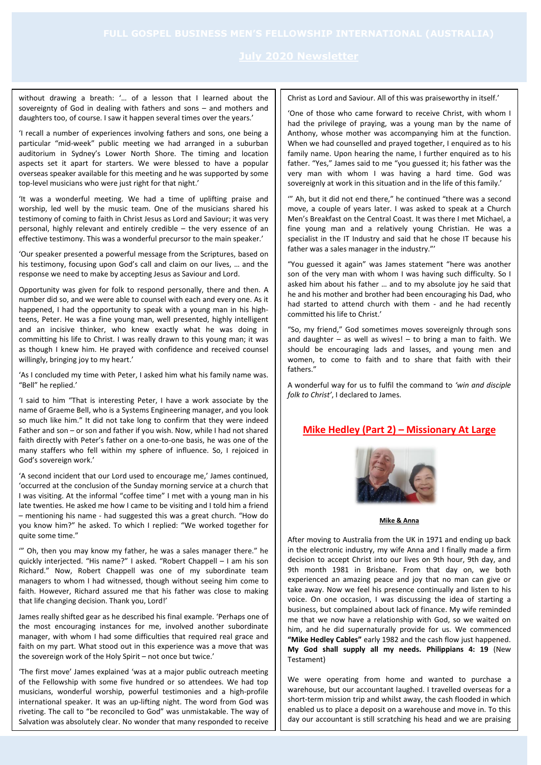without drawing a breath: '… of a lesson that I learned about the sovereignty of God in dealing with fathers and sons – and mothers and daughters too, of course. I saw it happen several times over the years.'

'I recall a number of experiences involving fathers and sons, one being a particular "mid-week" public meeting we had arranged in a suburban auditorium in Sydney's Lower North Shore. The timing and location aspects set it apart for starters. We were blessed to have a popular overseas speaker available for this meeting and he was supported by some top-level musicians who were just right for that night.'

'It was a wonderful meeting. We had a time of uplifting praise and worship, led well by the music team. One of the musicians shared his testimony of coming to faith in Christ Jesus as Lord and Saviour; it was very personal, highly relevant and entirely credible – the very essence of an effective testimony. This was a wonderful precursor to the main speaker.'

'Our speaker presented a powerful message from the Scriptures, based on his testimony, focusing upon God's call and claim on our lives, … and the response we need to make by accepting Jesus as Saviour and Lord.

Opportunity was given for folk to respond personally, there and then. A number did so, and we were able to counsel with each and every one. As it happened, I had the opportunity to speak with a young man in his highteens, Peter. He was a fine young man, well presented, highly intelligent and an incisive thinker, who knew exactly what he was doing in committing his life to Christ. I was really drawn to this young man; it was as though I knew him. He prayed with confidence and received counsel willingly, bringing joy to my heart.'

'As I concluded my time with Peter, I asked him what his family name was. "Bell" he replied.'

'I said to him "That is interesting Peter, I have a work associate by the name of Graeme Bell, who is a Systems Engineering manager, and you look so much like him." It did not take long to confirm that they were indeed Father and son – or son and father if you wish. Now, while I had not shared faith directly with Peter's father on a one-to-one basis, he was one of the many staffers who fell within my sphere of influence. So, I rejoiced in God's sovereign work.'

'A second incident that our Lord used to encourage me,' James continued, 'occurred at the conclusion of the Sunday morning service at a church that I was visiting. At the informal "coffee time" I met with a young man in his late twenties. He asked me how I came to be visiting and I told him a friend – mentioning his name - had suggested this was a great church. "How do you know him?" he asked. To which I replied: "We worked together for quite some time."

'" Oh, then you may know my father, he was a sales manager there." he quickly interjected. "His name?" I asked. "Robert Chappell – I am his son Richard." Now, Robert Chappell was one of my subordinate team managers to whom I had witnessed, though without seeing him come to faith. However, Richard assured me that his father was close to making that life changing decision. Thank you, Lord!'

James really shifted gear as he described his final example. 'Perhaps one of the most encouraging instances for me, involved another subordinate manager, with whom I had some difficulties that required real grace and faith on my part. What stood out in this experience was a move that was the sovereign work of the Holy Spirit – not once but twice.'

'The first move' James explained 'was at a major public outreach meeting of the Fellowship with some five hundred or so attendees. We had top musicians, wonderful worship, powerful testimonies and a high-profile international speaker. It was an up-lifting night. The word from God was riveting. The call to "be reconciled to God" was unmistakable. The way of Salvation was absolutely clear. No wonder that many responded to receive Christ as Lord and Saviour. All of this was praiseworthy in itself.'

'One of those who came forward to receive Christ, with whom I had the privilege of praying, was a young man by the name of Anthony, whose mother was accompanying him at the function. When we had counselled and prayed together, I enquired as to his family name. Upon hearing the name, I further enquired as to his father. "Yes," James said to me "you guessed it; his father was the very man with whom I was having a hard time. God was sovereignly at work in this situation and in the life of this family.'

'" Ah, but it did not end there," he continued "there was a second move, a couple of years later. I was asked to speak at a Church Men's Breakfast on the Central Coast. It was there I met Michael, a fine young man and a relatively young Christian. He was a specialist in the IT Industry and said that he chose IT because his father was a sales manager in the industry."'

"You guessed it again" was James statement "here was another son of the very man with whom I was having such difficulty. So I asked him about his father … and to my absolute joy he said that he and his mother and brother had been encouraging his Dad, who had started to attend church with them - and he had recently committed his life to Christ.'

"So, my friend," God sometimes moves sovereignly through sons and daughter – as well as wives! – to bring a man to faith. We should be encouraging lads and lasses, and young men and women, to come to faith and to share that faith with their fathers."

A wonderful way for us to fulfil the command to *'win and disciple folk to Christ'*, I declared to James.

# **Mike Hedley (Part 2) – Missionary At Large**



**Mike & Anna**

After moving to Australia from the UK in 1971 and ending up back in the electronic industry, my wife Anna and I finally made a firm decision to accept Christ into our lives on 9th hour, 9th day, and 9th month 1981 in Brisbane. From that day on, we both experienced an amazing peace and joy that no man can give or take away. Now we feel his presence continually and listen to his voice. On one occasion, I was discussing the idea of starting a business, but complained about lack of finance. My wife reminded me that we now have a relationship with God, so we waited on him, and he did supernaturally provide for us. We commenced **"Mike Hedley Cables"** early 1982 and the cash flow just happened. **My God shall supply all my needs. Philippians 4: 19** (New Testament)

We were operating from home and wanted to purchase a warehouse, but our accountant laughed. I travelled overseas for a short-term mission trip and whilst away, the cash flooded in which enabled us to place a deposit on a warehouse and move in. To this day our accountant is still scratching his head and we are praising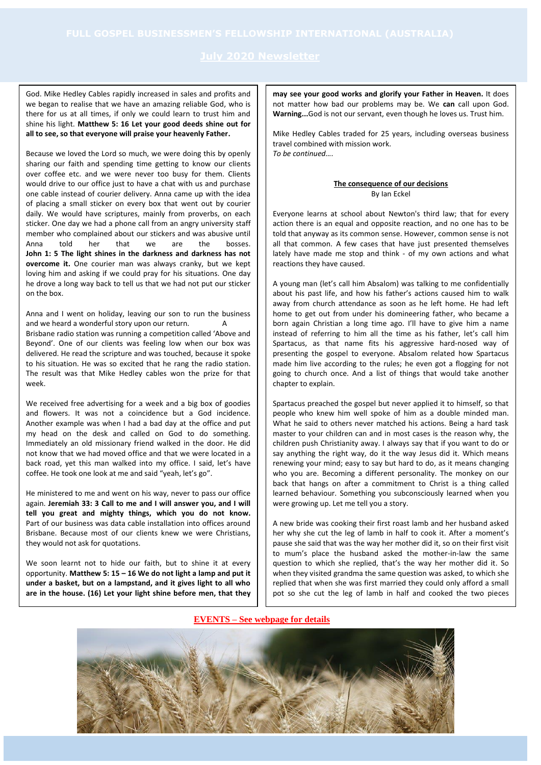God. Mike Hedley Cables rapidly increased in sales and profits and we began to realise that we have an amazing reliable God, who is there for us at all times, if only we could learn to trust him and shine his light. **Matthew 5: 16 Let your good deeds shine out for all to see, so that everyone will praise your heavenly Father.**

Because we loved the Lord so much, we were doing this by openly sharing our faith and spending time getting to know our clients over coffee etc. and we were never too busy for them. Clients would drive to our office just to have a chat with us and purchase one cable instead of courier delivery. Anna came up with the idea of placing a small sticker on every box that went out by courier daily. We would have scriptures, mainly from proverbs, on each sticker. One day we had a phone call from an angry university staff member who complained about our stickers and was abusive until Anna told her that we are the bosses. **John 1: 5 The light shines in the darkness and darkness has not overcome it.** One courier man was always cranky, but we kept loving him and asking if we could pray for his situations. One day he drove a long way back to tell us that we had not put our sticker on the box.

Anna and I went on holiday, leaving our son to run the business and we heard a wonderful story upon our return. Brisbane radio station was running a competition called 'Above and Beyond'. One of our clients was feeling low when our box was delivered. He read the scripture and was touched, because it spoke to his situation. He was so excited that he rang the radio station. The result was that Mike Hedley cables won the prize for that week.

We received free advertising for a week and a big box of goodies and flowers. It was not a coincidence but a God incidence. Another example was when I had a bad day at the office and put my head on the desk and called on God to do something. Immediately an old missionary friend walked in the door. He did not know that we had moved office and that we were located in a back road, yet this man walked into my office. I said, let's have coffee. He took one look at me and said "yeah, let's go".

He ministered to me and went on his way, never to pass our office again. **Jeremiah 33: 3 Call to me and I will answer you, and I will tell you great and mighty things, which you do not know.** Part of our business was data cable installation into offices around Brisbane. Because most of our clients knew we were Christians, they would not ask for quotations.

We soon learnt not to hide our faith, but to shine it at every opportunity. **Matthew 5: 15 – 16 We do not light a lamp and put it under a basket, but on a lampstand, and it gives light to all who are in the house. (16) Let your light shine before men, that they**

**may see your good works and glorify your Father in Heaven.** It does not matter how bad our problems may be. We **can** call upon God. **Warning...**God is not our servant, even though he loves us. Trust him.

Mike Hedley Cables traded for 25 years, including overseas business travel combined with mission work. *To be continued….*

### **The consequence of our decisions** By Ian Eckel

Everyone learns at school about Newton's third law; that for every action there is an equal and opposite reaction, and no one has to be told that anyway as its common sense. However, common sense is not all that common. A few cases that have just presented themselves lately have made me stop and think - of my own actions and what reactions they have caused.

A young man (let's call him Absalom) was talking to me confidentially about his past life, and how his father's actions caused him to walk away from church attendance as soon as he left home. He had left home to get out from under his domineering father, who became a born again Christian a long time ago. I'll have to give him a name instead of referring to him all the time as his father, let's call him Spartacus, as that name fits his aggressive hard-nosed way of presenting the gospel to everyone. Absalom related how Spartacus made him live according to the rules; he even got a flogging for not going to church once. And a list of things that would take another chapter to explain.

Spartacus preached the gospel but never applied it to himself, so that people who knew him well spoke of him as a double minded man. What he said to others never matched his actions. Being a hard task master to your children can and in most cases is the reason why, the children push Christianity away. I always say that if you want to do or say anything the right way, do it the way Jesus did it. Which means renewing your mind; easy to say but hard to do, as it means changing who you are. Becoming a different personality. The monkey on our back that hangs on after a commitment to Christ is a thing called learned behaviour. Something you subconsciously learned when you were growing up. Let me tell you a story.

A new bride was cooking their first roast lamb and her husband asked her why she cut the leg of lamb in half to cook it. After a moment's pause she said that was the way her mother did it, so on their first visit to mum's place the husband asked the mother-in-law the same question to which she replied, that's the way her mother did it. So when they visited grandma the same question was asked, to which she replied that when she was first married they could only afford a small pot so she cut the leg of lamb in half and cooked the two pieces

**EVENTS – See webpage for details**